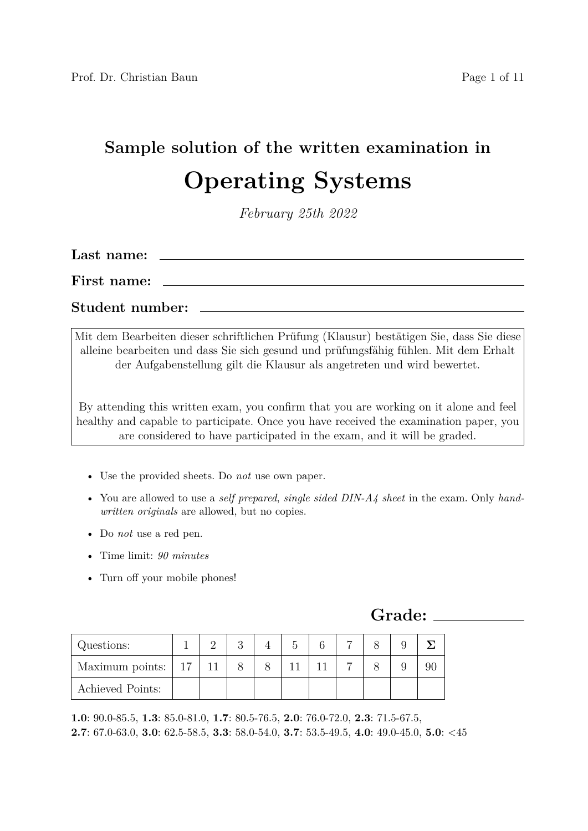## **Sample solution of the written examination in Operating Systems**

*February 25th 2022*

| Last name:      |  |
|-----------------|--|
| First name:     |  |
| Student number: |  |

Mit dem Bearbeiten dieser schriftlichen Prüfung (Klausur) bestätigen Sie, dass Sie diese alleine bearbeiten und dass Sie sich gesund und prüfungsfähig fühlen. Mit dem Erhalt der Aufgabenstellung gilt die Klausur als angetreten und wird bewertet.

By attending this written exam, you confirm that you are working on it alone and feel healthy and capable to participate. Once you have received the examination paper, you are considered to have participated in the exam, and it will be graded.

- Use the provided sheets. Do *not* use own paper.
- You are allowed to use a *self prepared*, *single sided DIN-A4 sheet* in the exam. Only *handwritten originals* are allowed, but no copies.
- Do *not* use a red pen.
- Time limit: *90 minutes*
- Turn off your mobile phones!

**Grade:**

| Questions:                     |  |  |  |  |  |
|--------------------------------|--|--|--|--|--|
| Maximum points: $\mid 17 \mid$ |  |  |  |  |  |
| Achieved Points:               |  |  |  |  |  |

**1.0**: 90.0-85.5, **1.3**: 85.0-81.0, **1.7**: 80.5-76.5, **2.0**: 76.0-72.0, **2.3**: 71.5-67.5, **2.7**: 67.0-63.0, **3.0**: 62.5-58.5, **3.3**: 58.0-54.0, **3.7**: 53.5-49.5, **4.0**: 49.0-45.0, **5.0**: <45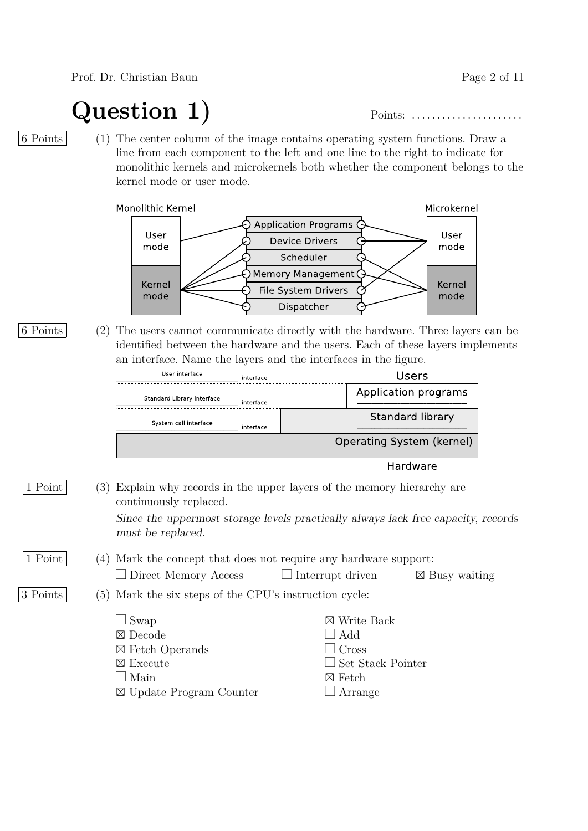Prof. Dr. Christian Baun Page 2 of 11

**Question 1)** Points: . . . . . . . . . . . . . . . . . . . . . .

6 Points (1) The center column of the image contains operating system functions. Draw a line from each component to the left and one line to the right to indicate for monolithic kernels and microkernels both whether the component belongs to the kernel mode or user mode.

Monolithic Kernel



| 6 Points |                                                                 | (2) The users cannot communicate directly with the hardware. Three layers can be |
|----------|-----------------------------------------------------------------|----------------------------------------------------------------------------------|
|          |                                                                 | identified between the hardware and the users. Each of these layers implements   |
|          | an interface. Name the layers and the interfaces in the figure. |                                                                                  |
|          | User interface<br>the kind of a later                           | l Icarc                                                                          |

| User interface             | interface | <b>Users</b>                   |
|----------------------------|-----------|--------------------------------|
| Standard Library interface | interface | Application programs           |
| System call interface      | interface | <b>Standard library</b>        |
|                            |           | Operating System (kernel)      |
|                            |           | والمستحدث والمتعارية والمنازلة |

Hardware

1 Point (3) Explain why records in the upper layers of the memory hierarchy are continuously replaced.

> Since the uppermost storage levels practically always lack free capacity, records must be replaced.

#### 1 Point (4) Mark the concept that does not require any hardware support:  $\Box$  Direct Memory Access  $\Box$  Interrupt driven  $\boxtimes$  Busy waiting

3 Points (5) Mark the six steps of the CPU's instruction cycle:

| $\Box$ Swap                | $\boxtimes$ Write Back   |
|----------------------------|--------------------------|
| $\boxtimes$ Decode         | $\Box$ Add               |
| $\boxtimes$ Fetch Operands | $\Box$ Cross             |
| $\boxtimes$ Execute        | $\Box$ Set Stack Pointer |
| $\Box$ Main                | $\boxtimes$ Fetch        |
| ⊠ Update Program Counter   | $\Box$ Arrange           |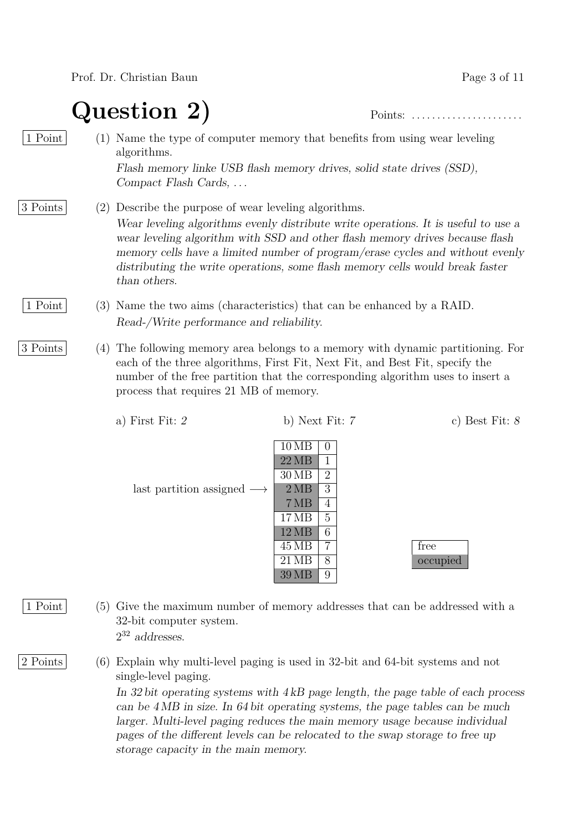Prof. Dr. Christian Baun Page 3 of 11

**Question 2)** Points: . . . . . . . . . . . . . . . . . . . . . .

- 1 Point (1) Name the type of computer memory that benefits from using wear leveling algorithms. Flash memory linke USB flash memory drives, solid state drives (SSD), Compact Flash Cards, . . .
- 3 Points (2) Describe the purpose of wear leveling algorithms. Wear leveling algorithms evenly distribute write operations. It is useful to use a wear leveling algorithm with SSD and other flash memory drives because flash memory cells have a limited number of program/erase cycles and without evenly distributing the write operations, some flash memory cells would break faster than others.
	- 1 Point (3) Name the two aims (characteristics) that can be enhanced by a RAID. Read-/Write performance and reliability.
- 3 Points (4) The following memory area belongs to a memory with dynamic partitioning. For each of the three algorithms, First Fit, Next Fit, and Best Fit, specify the number of the free partition that the corresponding algorithm uses to insert a process that requires 21 MB of memory.

| a) First Fit: 2                           | b) Next Fit: 7                                                                                                                                                                        | c) Best Fit: $\delta$ |
|-------------------------------------------|---------------------------------------------------------------------------------------------------------------------------------------------------------------------------------------|-----------------------|
| last partition assigned $\longrightarrow$ | 10MB<br>$\left( \right)$<br>22MB<br>1<br>$30\,\mathrm{MB}$<br>$\overline{2}$<br>2MB<br>3<br>7MB<br>4<br>5<br>17 MB<br>6<br>12MB<br>7<br>45 MB<br>$21\,\mathrm{MB}$<br>8<br>9<br>39 MB | free<br>occupied      |
|                                           |                                                                                                                                                                                       |                       |

1 Point (5) Give the maximum number of memory addresses that can be addressed with a 32-bit computer system.  $2^{32}$  addresses.

2 Points (6) Explain why multi-level paging is used in 32-bit and 64-bit systems and not single-level paging.

> In 32 bit operating systems with 4 kB page length, the page table of each process can be 4 MB in size. In 64 bit operating systems, the page tables can be much larger. Multi-level paging reduces the main memory usage because individual pages of the different levels can be relocated to the swap storage to free up storage capacity in the main memory.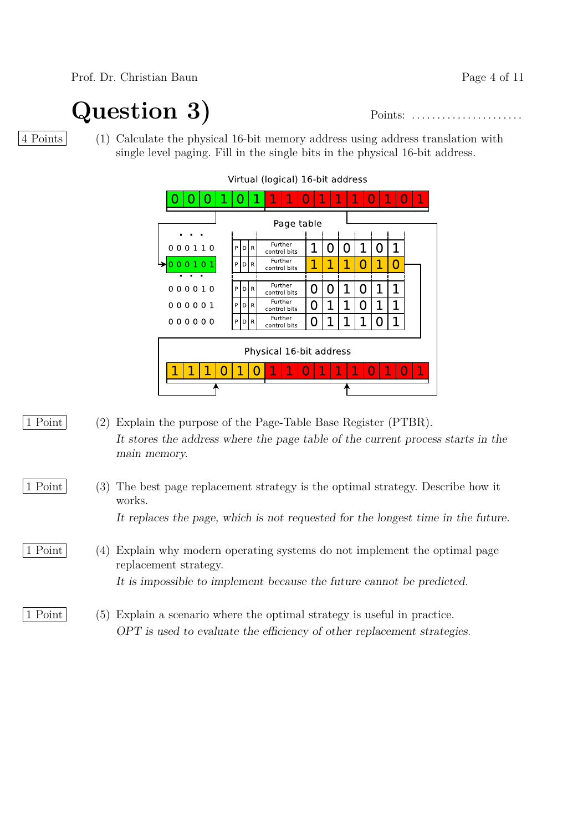Prof. Dr. Christian Baun Page 4 of 11

**Question 3)** Points: . . . . . . . . . . . . . . . . . . . . . .

4 Points (1) Calculate the physical 16-bit memory address using address translation with single level paging. Fill in the single bits in the physical 16-bit address.

|                         |   |              |              | l            | ı       | O | 1   | 1 |   | ı |     | \$<br>O | 1 |
|-------------------------|---|--------------|--------------|--------------|---------|---|-----|---|---|---|-----|---------|---|
| Page table              |   |              |              |              |         |   |     |   |   |   |     |         |   |
|                         |   |              |              |              |         |   |     |   |   |   |     |         |   |
| 000110                  | P | $\mathsf{D}$ | $\mathsf{R}$ | control bits | Further |   | 1   | 0 | U |   | l 1 | 1       |   |
| 000101                  | P | D            | R            | control bits | Further |   | 1   | 1 | 1 | O | 1   | O       |   |
|                         |   |              |              |              |         |   |     |   |   |   |     |         |   |
| 000010                  | P | $\mathsf{D}$ | R            | control bits | Further |   | N   | N |   | Ω |     | 1       |   |
| 000001                  | P | D            | $\mathsf{R}$ | control bits | Further |   | ( ) | 1 | 1 | 0 | 1   | 1       |   |
| 000000                  | P | D            | R            | control bits | Further |   | N   | 1 |   |   | П   | 1       |   |
|                         |   |              |              |              |         |   |     |   |   |   |     |         |   |
| Physical 16-bit address |   |              |              |              |         |   |     |   |   |   |     |         |   |
|                         |   |              |              |              | J       |   | I   |   |   |   |     | ı       | 1 |
|                         |   |              |              |              |         |   |     |   |   |   |     |         |   |

Virtual (logical) 16-bit address

- 1 Point (2) Explain the purpose of the Page-Table Base Register (PTBR). It stores the address where the page table of the current process starts in the main memory.
- 1 Point (3) The best page replacement strategy is the optimal strategy. Describe how it works. It replaces the page, which is not requested for the longest time in the future.
- 1 Point (4) Explain why modern operating systems do not implement the optimal page replacement strategy. It is impossible to implement because the future cannot be predicted.
- 1 Point (5) Explain a scenario where the optimal strategy is useful in practice. OPT is used to evaluate the efficiency of other replacement strategies.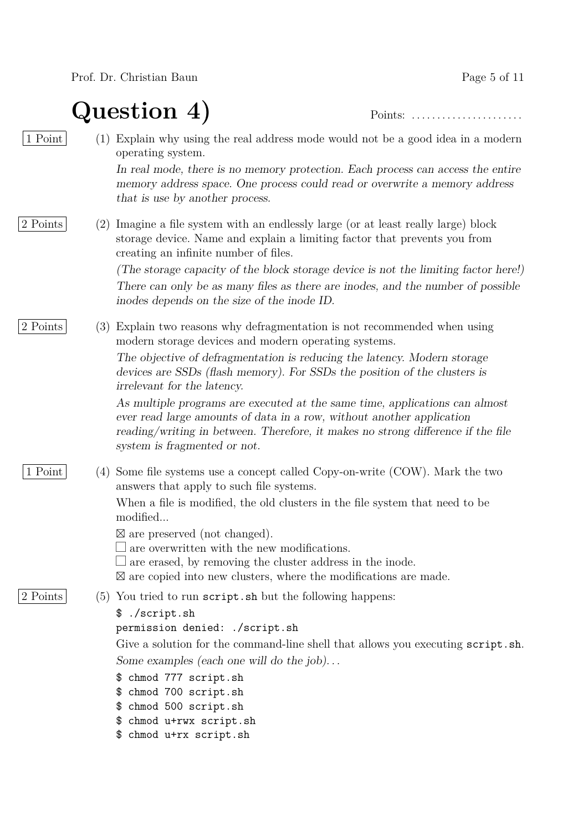**Question 4)** Points: . . . . . . . . . . . . . . . . . . . . . .

| 1 Point  |     | (1) Explain why using the real address mode would not be a good idea in a modern<br>operating system.                                                                                                                                                                    |
|----------|-----|--------------------------------------------------------------------------------------------------------------------------------------------------------------------------------------------------------------------------------------------------------------------------|
|          |     | In real mode, there is no memory protection. Each process can access the entire<br>memory address space. One process could read or overwrite a memory address<br>that is use by another process.                                                                         |
| 2 Points | (2) | Imagine a file system with an endlessly large (or at least really large) block<br>storage device. Name and explain a limiting factor that prevents you from<br>creating an infinite number of files.                                                                     |
|          |     | (The storage capacity of the block storage device is not the limiting factor here!)<br>There can only be as many files as there are inodes, and the number of possible<br>inodes depends on the size of the inode ID.                                                    |
| 2 Points | (3) | Explain two reasons why defragmentation is not recommended when using<br>modern storage devices and modern operating systems.                                                                                                                                            |
|          |     | The objective of defragmentation is reducing the latency. Modern storage<br>devices are SSDs (flash memory). For SSDs the position of the clusters is<br>irrelevant for the latency.                                                                                     |
|          |     | As multiple programs are executed at the same time, applications can almost<br>ever read large amounts of data in a row, without another application<br>reading/writing in between. Therefore, it makes no strong difference if the file<br>system is fragmented or not. |
| 1 Point  | (4) | Some file systems use a concept called Copy-on-write (COW). Mark the two<br>answers that apply to such file systems.                                                                                                                                                     |
|          |     | When a file is modified, the old clusters in the file system that need to be<br>modified                                                                                                                                                                                 |
|          |     | $\boxtimes$ are preserved (not changed).<br>are overwritten with the new modifications.<br>$\perp$ are erased, by removing the cluster address in the inode.<br>$\boxtimes$ are copied into new clusters, where the modifications are made.                              |
| 2 Points |     | $(5)$ You tried to run script. sh but the following happens:                                                                                                                                                                                                             |
|          |     | \$ ./script.sh<br>permission denied: ./script.sh                                                                                                                                                                                                                         |
|          |     | Give a solution for the command-line shell that allows you executing script.sh.                                                                                                                                                                                          |
|          |     | Some examples (each one will do the job)<br>chmod 777 script.sh<br>\$                                                                                                                                                                                                    |
|          |     | chmod 700 script.sh<br>\$                                                                                                                                                                                                                                                |
|          |     | chmod 500 script.sh                                                                                                                                                                                                                                                      |
|          |     | chmod u+rwx script.sh<br>Ψ.<br>\$ chmod u+rx script.sh                                                                                                                                                                                                                   |
|          |     |                                                                                                                                                                                                                                                                          |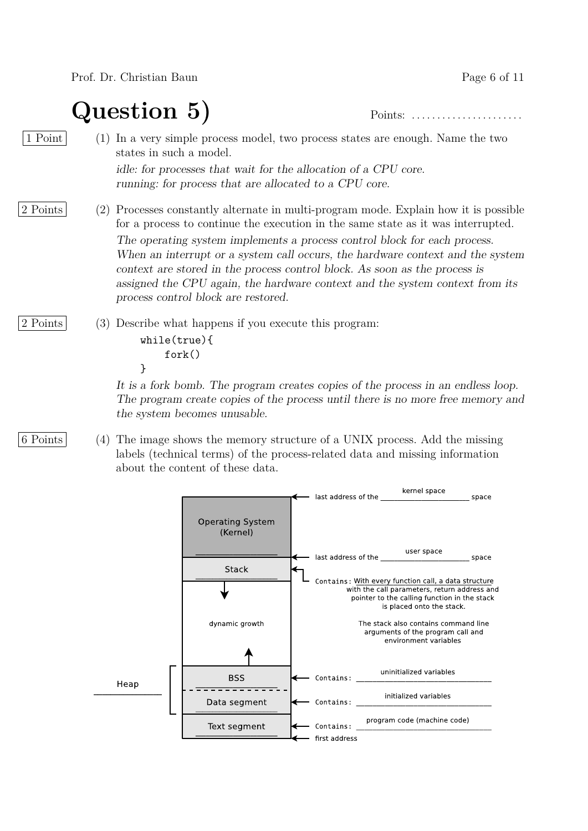Prof. Dr. Christian Baun Page 6 of 11

**Question 5)** Points: . . . . . . . . . . . . . . . . . . . . . .

1 Point (1) In a very simple process model, two process states are enough. Name the two states in such a model. idle: for processes that wait for the allocation of a CPU core.

running: for process that are allocated to a CPU core.

- 2 Points (2) Processes constantly alternate in multi-program mode. Explain how it is possible for a process to continue the execution in the same state as it was interrupted. The operating system implements a process control block for each process. When an interrupt or a system call occurs, the hardware context and the system context are stored in the process control block. As soon as the process is assigned the CPU again, the hardware context and the system context from its process control block are restored.
- 2 Points (3) Describe what happens if you execute this program: while(true){ fork()

}

It is a fork bomb. The program creates copies of the process in an endless loop. The program create copies of the process until there is no more free memory and the system becomes unusable.

6 Points (4) The image shows the memory structure of a UNIX process. Add the missing labels (technical terms) of the process-related data and missing information about the content of these data.

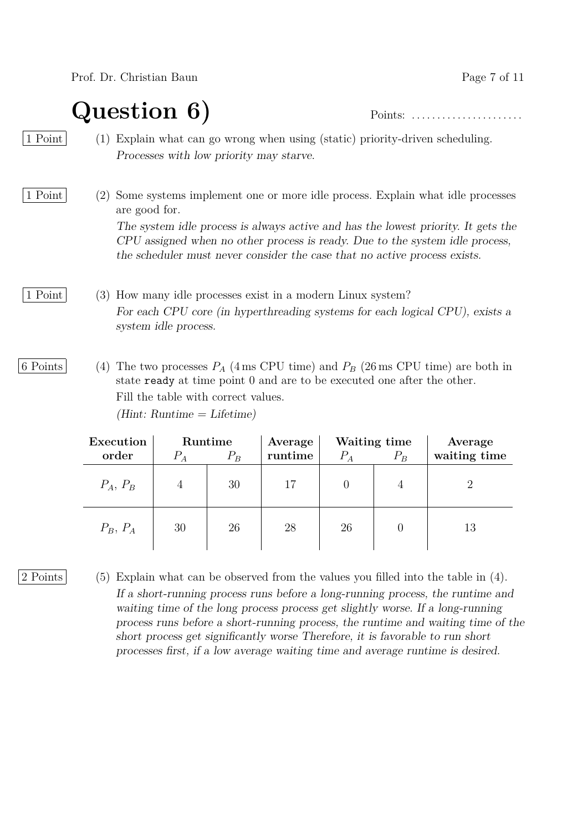### **Question 6)** Points: . . . . . . . . . . . . . . . . . . . . . .

1 Point (1) Explain what can go wrong when using (static) priority-driven scheduling. Processes with low priority may starve.

#### 1 Point (2) Some systems implement one or more idle process. Explain what idle processes are good for.

The system idle process is always active and has the lowest priority. It gets the CPU assigned when no other process is ready. Due to the system idle process, the scheduler must never consider the case that no active process exists.

1 Point (3) How many idle processes exist in a modern Linux system? For each CPU core (in hyperthreading systems for each logical CPU), exists a system idle process.

6 Points (4) The two processes  $P_A$  (4 ms CPU time) and  $P_B$  (26 ms CPU time) are both in state ready at time point 0 and are to be executed one after the other. Fill the table with correct values.  $(Hint: Runtime = Lifetime)$ 

| Execution  |                | Runtime | Average |       | Waiting time | Average      |
|------------|----------------|---------|---------|-------|--------------|--------------|
| order      | $P_A$          | $P_B$   | runtime | $P_A$ | $P_B$        | waiting time |
| $P_A, P_B$ | $\overline{4}$ | 30      | 17      |       |              | 2            |
| $P_B, P_A$ | 30             | 26      | 28      | 26    |              | 13           |

2 Points (5) Explain what can be observed from the values you filled into the table in (4). If a short-running process runs before a long-running process, the runtime and waiting time of the long process process get slightly worse. If a long-running process runs before a short-running process, the runtime and waiting time of the short process get significantly worse Therefore, it is favorable to run short processes first, if a low average waiting time and average runtime is desired.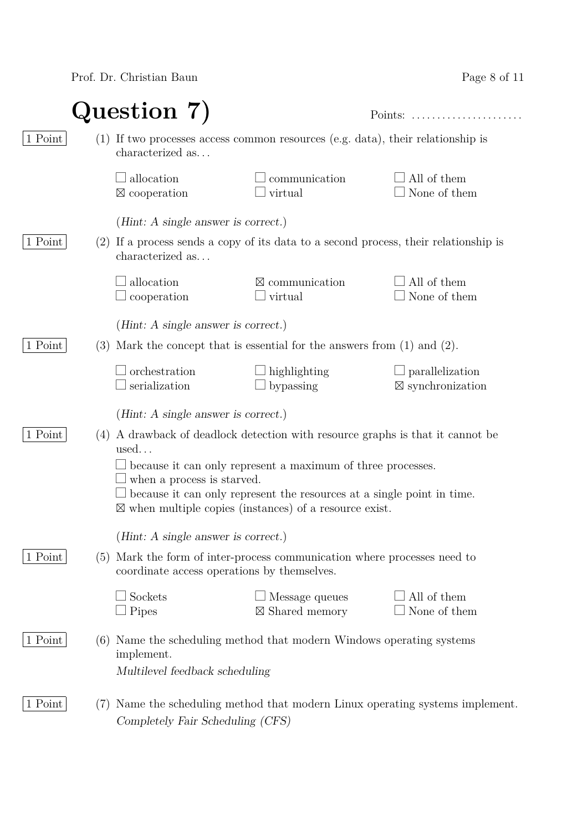Prof. Dr. Christian Baun

| Page 8 of 11 |  |  |  |
|--------------|--|--|--|
|--------------|--|--|--|

|                |     | Question 7)                                                                                              | Points:                                                                                                                                                                                                                                                                                          | .                                                     |
|----------------|-----|----------------------------------------------------------------------------------------------------------|--------------------------------------------------------------------------------------------------------------------------------------------------------------------------------------------------------------------------------------------------------------------------------------------------|-------------------------------------------------------|
| 1 Point        |     | $(1)$ If two processes access common resources (e.g. data), their relationship is<br>characterized as    |                                                                                                                                                                                                                                                                                                  |                                                       |
|                |     | allocation<br>$\boxtimes$ cooperation                                                                    | communication<br>virtual                                                                                                                                                                                                                                                                         | All of them<br>None of them                           |
|                |     | ( <i>Hint</i> : A single answer is correct.)                                                             |                                                                                                                                                                                                                                                                                                  |                                                       |
| 1 Point        |     | (2) If a process sends a copy of its data to a second process, their relationship is<br>characterized as |                                                                                                                                                                                                                                                                                                  |                                                       |
|                |     | allocation<br>cooperation                                                                                | $\boxtimes$ communication<br>virtual                                                                                                                                                                                                                                                             | All of them<br>None of them                           |
|                |     | ( <i>Hint</i> : A single answer is correct.)                                                             |                                                                                                                                                                                                                                                                                                  |                                                       |
| 1 Point        | (3) |                                                                                                          | Mark the concept that is essential for the answers from $(1)$ and $(2)$ .                                                                                                                                                                                                                        |                                                       |
|                |     | orchestration<br>serialization                                                                           | highlighting<br>bypassing                                                                                                                                                                                                                                                                        | $\Box$ parallelization<br>$\boxtimes$ synchronization |
|                |     | ( <i>Hint</i> : A single answer is correct.)                                                             |                                                                                                                                                                                                                                                                                                  |                                                       |
| 1 Point        | (4) | used<br>when a process is starved.                                                                       | A drawback of deadlock detection with resource graphs is that it cannot be<br>because it can only represent a maximum of three processes.<br>$\perp$ because it can only represent the resources at a single point in time.<br>$\boxtimes$ when multiple copies (instances) of a resource exist. |                                                       |
|                |     | ( <i>Hint:</i> A single answer is correct.)                                                              |                                                                                                                                                                                                                                                                                                  |                                                       |
| $1$ Point $\,$ | (5) | coordinate access operations by themselves.                                                              | Mark the form of inter-process communication where processes need to                                                                                                                                                                                                                             |                                                       |
|                |     | Sockets<br>Pipes                                                                                         | $\Box$ Message queues<br>$\boxtimes$ Shared memory                                                                                                                                                                                                                                               | All of them<br>None of them                           |
| 1 Point        | (6) | implement.<br>Multilevel feedback scheduling                                                             | Name the scheduling method that modern Windows operating systems                                                                                                                                                                                                                                 |                                                       |
| 1 Point        | (7) | Completely Fair Scheduling (CFS)                                                                         | Name the scheduling method that modern Linux operating systems implement.                                                                                                                                                                                                                        |                                                       |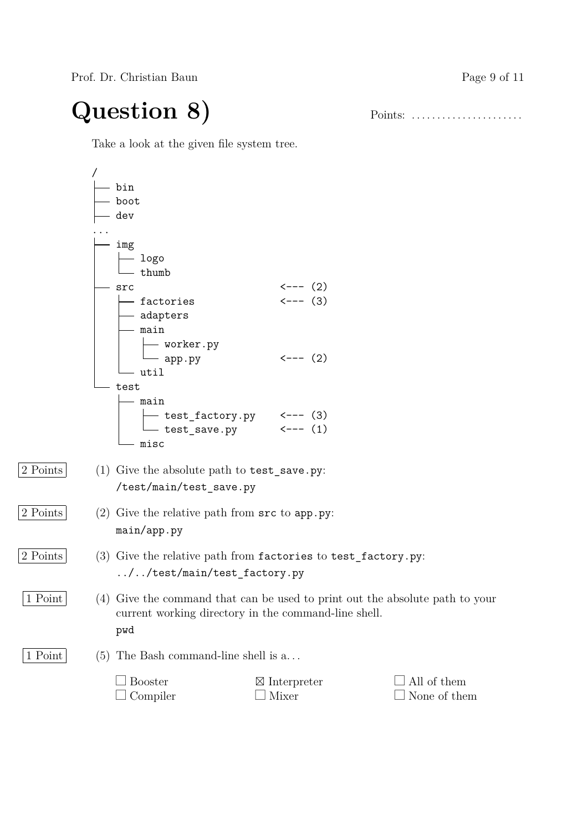Prof. Dr. Christian Baun Page 9 of 11

# **Question 8)** Points: . . . . . . . . . . . . . . . . . . . . . .

Take a look at the given file system tree.

|          |     | bin                                                                                                                                              |                                                              |                             |
|----------|-----|--------------------------------------------------------------------------------------------------------------------------------------------------|--------------------------------------------------------------|-----------------------------|
|          |     | boot                                                                                                                                             |                                                              |                             |
|          |     | dev                                                                                                                                              |                                                              |                             |
|          |     |                                                                                                                                                  |                                                              |                             |
|          |     | img<br>$-$ logo<br>$-$ thumb                                                                                                                     |                                                              |                             |
|          |     | src                                                                                                                                              |                                                              |                             |
|          |     | $-$ factories                                                                                                                                    | $\begin{matrix} < &-&-& & (2) \\ & < &-&-& (3) \end{matrix}$ |                             |
|          |     | $-$ adapters<br>- main                                                                                                                           |                                                              |                             |
|          |     | worker.py<br>app.py                                                                                                                              | $\leftarrow$ --- (2)                                         |                             |
|          |     | - util                                                                                                                                           |                                                              |                             |
|          |     | test                                                                                                                                             |                                                              |                             |
|          |     | – main                                                                                                                                           |                                                              |                             |
|          |     |                                                                                                                                                  |                                                              |                             |
|          |     | $\begin{array}{ccc}\n\text{test_factory.py} & & \xleftarrow{\text{--- (3)}} \\ \text{test_save.py} & & \xleftarrow{\text{--- (1)}}\n\end{array}$ |                                                              |                             |
|          |     | misc                                                                                                                                             |                                                              |                             |
| 2 Points |     | $(1)$ Give the absolute path to $test$ save.py:<br>/test/main/test_save.py                                                                       |                                                              |                             |
|          |     |                                                                                                                                                  |                                                              |                             |
| 2 Points |     | (2) Give the relative path from $src$ to $app.py$ :<br>main/app.py                                                                               |                                                              |                             |
| 2 Points |     | $(3)$ Give the relative path from factories to test_factory.py:                                                                                  |                                                              |                             |
|          |     |                                                                                                                                                  |                                                              |                             |
|          |     | //test/main/test_factory.py                                                                                                                      |                                                              |                             |
| 1 Point  |     | (4) Give the command that can be used to print out the absolute path to your<br>current working directory in the command-line shell.             |                                                              |                             |
|          |     | pwd                                                                                                                                              |                                                              |                             |
| 1 Point  | (5) | The Bash command-line shell is a                                                                                                                 |                                                              |                             |
|          |     | <b>Booster</b><br>Compiler                                                                                                                       | $\boxtimes$ Interpreter<br>Mixer                             | All of them<br>None of them |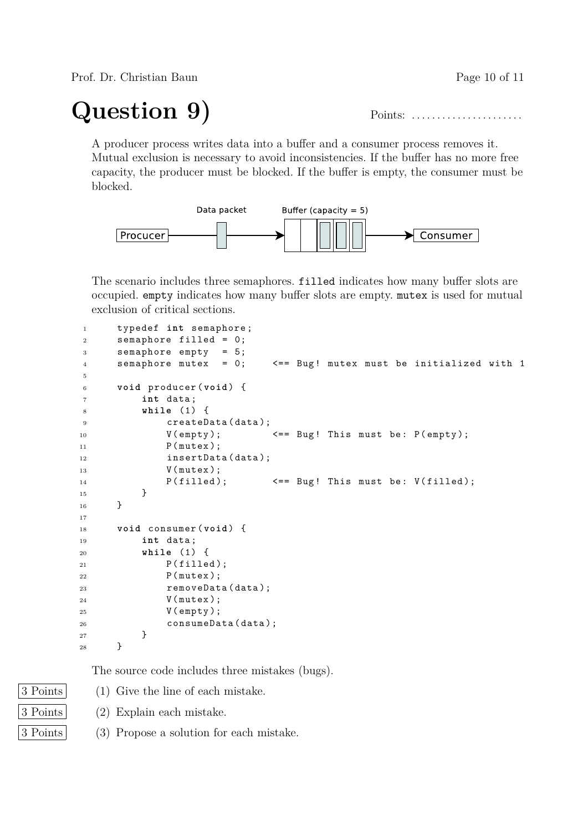Prof. Dr. Christian Baun Page 10 of 11

## **Question 9)** Points: . . . . . . . . . . . . . . . . . . . . . .

A producer process writes data into a buffer and a consumer process removes it. Mutual exclusion is necessary to avoid inconsistencies. If the buffer has no more free capacity, the producer must be blocked. If the buffer is empty, the consumer must be blocked.



The scenario includes three semaphores. filled indicates how many buffer slots are occupied. empty indicates how many buffer slots are empty. mutex is used for mutual exclusion of critical sections.

```
1 typedef int semaphore ;
2 semaphore filled = 0;
3 semaphore empty = 5;
4 semaphore mutex = 0; <== Bug! mutex must be initialized with 1
5
6 void producer ( void ) {
7 int data ;
8 while (1) {
9 createData (data);
10 V (empty); \langle == Bug! This must be: P (empty);
11 P (mutex);
12 insertData (data);
13 V (mutex);
14 P (filled); \langle = Bug! This must be: V (filled);
15 }
16 }
17
18 void consumer ( void ) {
19 int data ;
20 while (1) {
P(filled);22 P ( mutex );
23 removeData (data);
24 V ( mutex );
25 V ( empty );
26 consumeData (data);
27 }
28 }
```
The source code includes three mistakes (bugs).

3 Points (1) Give the line of each mistake.

3 Points (2) Explain each mistake.

3 Points (3) Propose a solution for each mistake.